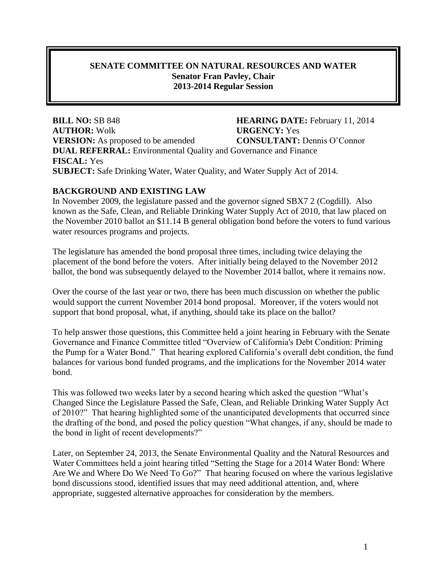### **SENATE COMMITTEE ON NATURAL RESOURCES AND WATER Senator Fran Pavley, Chair 2013-2014 Regular Session**

**BILL NO:** SB 848 **HEARING DATE:** February 11, 2014 **AUTHOR:** Wolk **URGENCY:** Yes **VERSION:** As proposed to be amended **CONSULTANT:** Dennis O'Connor **DUAL REFERRAL:** Environmental Quality and Governance and Finance **FISCAL:** Yes **SUBJECT:** Safe Drinking Water, Water Quality, and Water Supply Act of 2014.

#### **BACKGROUND AND EXISTING LAW**

In November 2009, the legislature passed and the governor signed SBX7 2 (Cogdill). Also known as the Safe, Clean, and Reliable Drinking Water Supply Act of 2010, that law placed on the November 2010 ballot an \$11.14 B general obligation bond before the voters to fund various water resources programs and projects.

The legislature has amended the bond proposal three times, including twice delaying the placement of the bond before the voters. After initially being delayed to the November 2012 ballot, the bond was subsequently delayed to the November 2014 ballot, where it remains now.

Over the course of the last year or two, there has been much discussion on whether the public would support the current November 2014 bond proposal. Moreover, if the voters would not support that bond proposal, what, if anything, should take its place on the ballot?

To help answer those questions, this Committee held a joint hearing in February with the Senate Governance and Finance Committee titled "Overview of California's Debt Condition: Priming the Pump for a Water Bond." That hearing explored California's overall debt condition, the fund balances for various bond funded programs, and the implications for the November 2014 water bond.

This was followed two weeks later by a second hearing which asked the question "What's Changed Since the Legislature Passed the Safe, Clean, and Reliable Drinking Water Supply Act of 2010?" That hearing highlighted some of the unanticipated developments that occurred since the drafting of the bond, and posed the policy question "What changes, if any, should be made to the bond in light of recent developments?"

Later, on September 24, 2013, the Senate Environmental Quality and the Natural Resources and Water Committees held a joint hearing titled "Setting the Stage for a 2014 Water Bond: Where Are We and Where Do We Need To Go?" That hearing focused on where the various legislative bond discussions stood, identified issues that may need additional attention, and, where appropriate, suggested alternative approaches for consideration by the members.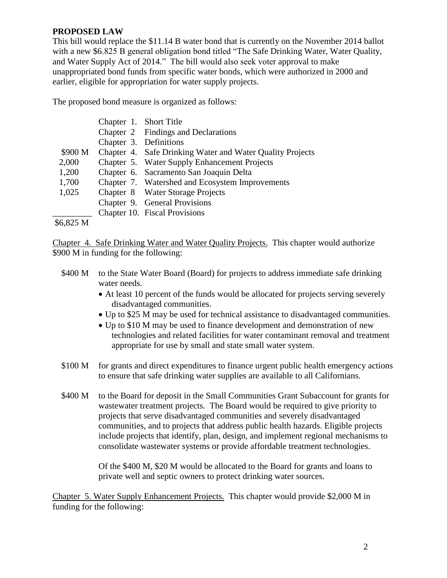#### **PROPOSED LAW**

This bill would replace the \$11.14 B water bond that is currently on the November 2014 ballot with a new \$6.825 B general obligation bond titled "The Safe Drinking Water, Water Quality, and Water Supply Act of 2014." The bill would also seek voter approval to make unappropriated bond funds from specific water bonds, which were authorized in 2000 and earlier, eligible for appropriation for water supply projects.

The proposed bond measure is organized as follows:

|           | Chapter 1. Short Title |                                                           |
|-----------|------------------------|-----------------------------------------------------------|
|           |                        | Chapter 2 Findings and Declarations                       |
|           | Chapter 3. Definitions |                                                           |
| \$900 M   |                        | Chapter 4. Safe Drinking Water and Water Quality Projects |
| 2,000     |                        | Chapter 5. Water Supply Enhancement Projects              |
| 1,200     |                        | Chapter 6. Sacramento San Joaquin Delta                   |
| 1,700     |                        | Chapter 7. Watershed and Ecosystem Improvements           |
| 1,025     |                        | Chapter 8 Water Storage Projects                          |
|           |                        | Chapter 9. General Provisions                             |
|           |                        | Chapter 10. Fiscal Provisions                             |
| \$6,825 M |                        |                                                           |

Chapter 4. Safe Drinking Water and Water Quality Projects. This chapter would authorize \$900 M in funding for the following:

- \$400 M to the State Water Board (Board) for projects to address immediate safe drinking water needs.
	- At least 10 percent of the funds would be allocated for projects serving severely disadvantaged communities.
	- Up to \$25 M may be used for technical assistance to disadvantaged communities.
	- Up to \$10 M may be used to finance development and demonstration of new technologies and related facilities for water contaminant removal and treatment appropriate for use by small and state small water system.
- \$100 M for grants and direct expenditures to finance urgent public health emergency actions to ensure that safe drinking water supplies are available to all Californians.
- \$400 M to the Board for deposit in the Small Communities Grant Subaccount for grants for wastewater treatment projects. The Board would be required to give priority to projects that serve disadvantaged communities and severely disadvantaged communities, and to projects that address public health hazards. Eligible projects include projects that identify, plan, design, and implement regional mechanisms to consolidate wastewater systems or provide affordable treatment technologies.

Of the \$400 M, \$20 M would be allocated to the Board for grants and loans to private well and septic owners to protect drinking water sources.

Chapter 5. Water Supply Enhancement Projects. This chapter would provide \$2,000 M in funding for the following: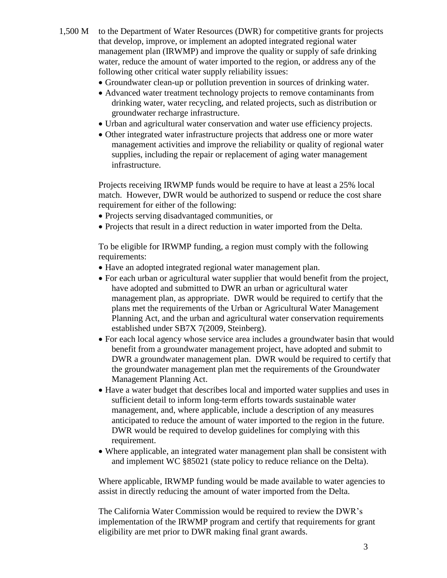- 1,500 M to the Department of Water Resources (DWR) for competitive grants for projects that develop, improve, or implement an adopted integrated regional water management plan (IRWMP) and improve the quality or supply of safe drinking water, reduce the amount of water imported to the region, or address any of the following other critical water supply reliability issues:
	- Groundwater clean-up or pollution prevention in sources of drinking water.
	- Advanced water treatment technology projects to remove contaminants from drinking water, water recycling, and related projects, such as distribution or groundwater recharge infrastructure.
	- Urban and agricultural water conservation and water use efficiency projects.
	- Other integrated water infrastructure projects that address one or more water management activities and improve the reliability or quality of regional water supplies, including the repair or replacement of aging water management infrastructure.

Projects receiving IRWMP funds would be require to have at least a 25% local match. However, DWR would be authorized to suspend or reduce the cost share requirement for either of the following:

- Projects serving disadvantaged communities, or
- Projects that result in a direct reduction in water imported from the Delta.

To be eligible for IRWMP funding, a region must comply with the following requirements:

- Have an adopted integrated regional water management plan.
- For each urban or agricultural water supplier that would benefit from the project, have adopted and submitted to DWR an urban or agricultural water management plan, as appropriate. DWR would be required to certify that the plans met the requirements of the Urban or Agricultural Water Management Planning Act, and the urban and agricultural water conservation requirements established under SB7X 7(2009, Steinberg).
- For each local agency whose service area includes a groundwater basin that would benefit from a groundwater management project, have adopted and submit to DWR a groundwater management plan. DWR would be required to certify that the groundwater management plan met the requirements of the Groundwater Management Planning Act.
- Have a water budget that describes local and imported water supplies and uses in sufficient detail to inform long-term efforts towards sustainable water management, and, where applicable, include a description of any measures anticipated to reduce the amount of water imported to the region in the future. DWR would be required to develop guidelines for complying with this requirement.
- Where applicable, an integrated water management plan shall be consistent with and implement WC §85021 (state policy to reduce reliance on the Delta).

Where applicable, IRWMP funding would be made available to water agencies to assist in directly reducing the amount of water imported from the Delta.

The California Water Commission would be required to review the DWR's implementation of the IRWMP program and certify that requirements for grant eligibility are met prior to DWR making final grant awards.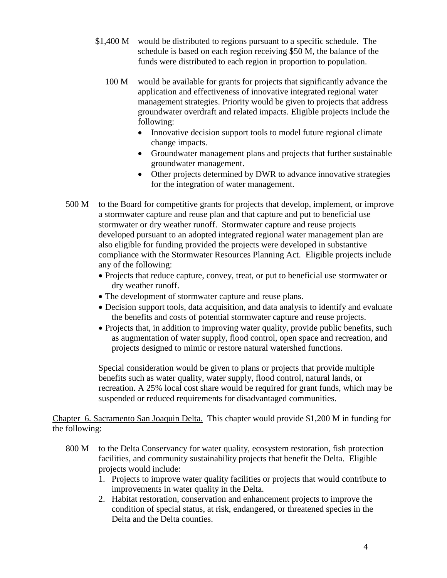- \$1,400 M would be distributed to regions pursuant to a specific schedule. The schedule is based on each region receiving \$50 M, the balance of the funds were distributed to each region in proportion to population.
	- 100 M would be available for grants for projects that significantly advance the application and effectiveness of innovative integrated regional water management strategies. Priority would be given to projects that address groundwater overdraft and related impacts. Eligible projects include the following:
		- Innovative decision support tools to model future regional climate change impacts.
		- Groundwater management plans and projects that further sustainable groundwater management.
		- Other projects determined by DWR to advance innovative strategies for the integration of water management.
- 500 M to the Board for competitive grants for projects that develop, implement, or improve a stormwater capture and reuse plan and that capture and put to beneficial use stormwater or dry weather runoff. Stormwater capture and reuse projects developed pursuant to an adopted integrated regional water management plan are also eligible for funding provided the projects were developed in substantive compliance with the Stormwater Resources Planning Act. Eligible projects include any of the following:
	- Projects that reduce capture, convey, treat, or put to beneficial use stormwater or dry weather runoff.
	- The development of stormwater capture and reuse plans.
	- Decision support tools, data acquisition, and data analysis to identify and evaluate the benefits and costs of potential stormwater capture and reuse projects.
	- Projects that, in addition to improving water quality, provide public benefits, such as augmentation of water supply, flood control, open space and recreation, and projects designed to mimic or restore natural watershed functions.

Special consideration would be given to plans or projects that provide multiple benefits such as water quality, water supply, flood control, natural lands, or recreation. A 25% local cost share would be required for grant funds, which may be suspended or reduced requirements for disadvantaged communities.

Chapter 6. Sacramento San Joaquin Delta. This chapter would provide \$1,200 M in funding for the following:

- 800 M to the Delta Conservancy for water quality, ecosystem restoration, fish protection facilities, and community sustainability projects that benefit the Delta. Eligible projects would include:
	- 1. Projects to improve water quality facilities or projects that would contribute to improvements in water quality in the Delta.
	- 2. Habitat restoration, conservation and enhancement projects to improve the condition of special status, at risk, endangered, or threatened species in the Delta and the Delta counties.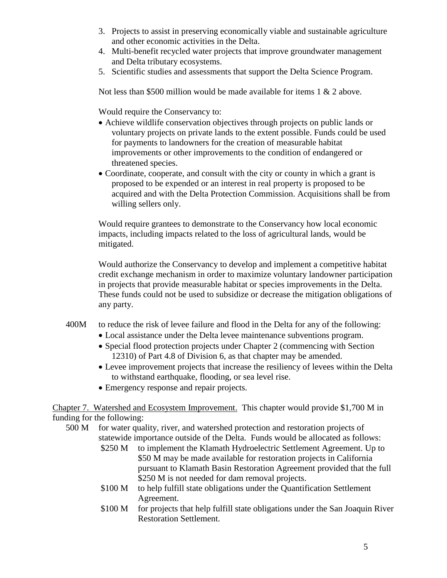- 3. Projects to assist in preserving economically viable and sustainable agriculture and other economic activities in the Delta.
- 4. Multi-benefit recycled water projects that improve groundwater management and Delta tributary ecosystems.
- 5. Scientific studies and assessments that support the Delta Science Program.

Not less than \$500 million would be made available for items 1 & 2 above.

Would require the Conservancy to:

- Achieve wildlife conservation objectives through projects on public lands or voluntary projects on private lands to the extent possible. Funds could be used for payments to landowners for the creation of measurable habitat improvements or other improvements to the condition of endangered or threatened species.
- Coordinate, cooperate, and consult with the city or county in which a grant is proposed to be expended or an interest in real property is proposed to be acquired and with the Delta Protection Commission. Acquisitions shall be from willing sellers only.

Would require grantees to demonstrate to the Conservancy how local economic impacts, including impacts related to the loss of agricultural lands, would be mitigated.

Would authorize the Conservancy to develop and implement a competitive habitat credit exchange mechanism in order to maximize voluntary landowner participation in projects that provide measurable habitat or species improvements in the Delta. These funds could not be used to subsidize or decrease the mitigation obligations of any party.

- 400M to reduce the risk of levee failure and flood in the Delta for any of the following:
	- Local assistance under the Delta levee maintenance subventions program.
	- Special flood protection projects under Chapter 2 (commencing with Section 12310) of Part 4.8 of Division 6, as that chapter may be amended.
	- Levee improvement projects that increase the resiliency of levees within the Delta to withstand earthquake, flooding, or sea level rise.
	- Emergency response and repair projects.

Chapter 7. Watershed and Ecosystem Improvement. This chapter would provide \$1,700 M in funding for the following:

- 500 M for water quality, river, and watershed protection and restoration projects of statewide importance outside of the Delta. Funds would be allocated as follows:
	- \$250 M to implement the Klamath Hydroelectric Settlement Agreement. Up to \$50 M may be made available for restoration projects in California pursuant to Klamath Basin Restoration Agreement provided that the full \$250 M is not needed for dam removal projects.
	- \$100 M to help fulfill state obligations under the Quantification Settlement Agreement.
	- \$100 M for projects that help fulfill state obligations under the San Joaquin River Restoration Settlement.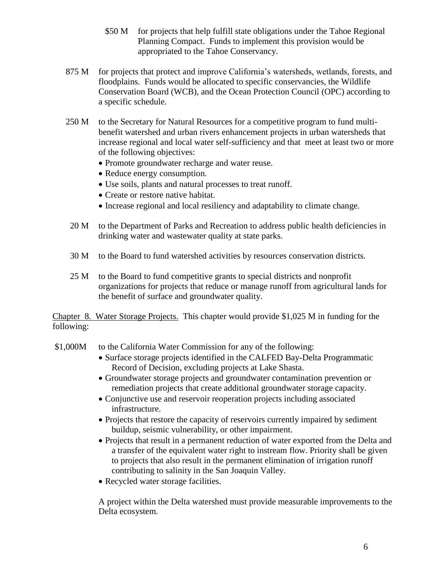- \$50 M for projects that help fulfill state obligations under the Tahoe Regional Planning Compact. Funds to implement this provision would be appropriated to the Tahoe Conservancy.
- 875 M for projects that protect and improve California's watersheds, wetlands, forests, and floodplains. Funds would be allocated to specific conservancies, the Wildlife Conservation Board (WCB), and the Ocean Protection Council (OPC) according to a specific schedule.
- 250 M to the Secretary for Natural Resources for a competitive program to fund multibenefit watershed and urban rivers enhancement projects in urban watersheds that increase regional and local water self-sufficiency and that meet at least two or more of the following objectives:
	- Promote groundwater recharge and water reuse.
	- Reduce energy consumption.
	- Use soils, plants and natural processes to treat runoff.
	- Create or restore native habitat.
	- Increase regional and local resiliency and adaptability to climate change.
- 20 M to the Department of Parks and Recreation to address public health deficiencies in drinking water and wastewater quality at state parks.
- 30 M to the Board to fund watershed activities by resources conservation districts.
- 25 M to the Board to fund competitive grants to special districts and nonprofit organizations for projects that reduce or manage runoff from agricultural lands for the benefit of surface and groundwater quality.

Chapter 8. Water Storage Projects. This chapter would provide \$1,025 M in funding for the following:

- \$1,000M to the California Water Commission for any of the following:
	- Surface storage projects identified in the CALFED Bay-Delta Programmatic Record of Decision, excluding projects at Lake Shasta.
	- Groundwater storage projects and groundwater contamination prevention or remediation projects that create additional groundwater storage capacity.
	- Conjunctive use and reservoir reoperation projects including associated infrastructure.
	- Projects that restore the capacity of reservoirs currently impaired by sediment buildup, seismic vulnerability, or other impairment.
	- Projects that result in a permanent reduction of water exported from the Delta and a transfer of the equivalent water right to instream flow. Priority shall be given to projects that also result in the permanent elimination of irrigation runoff contributing to salinity in the San Joaquin Valley.
	- Recycled water storage facilities.

A project within the Delta watershed must provide measurable improvements to the Delta ecosystem.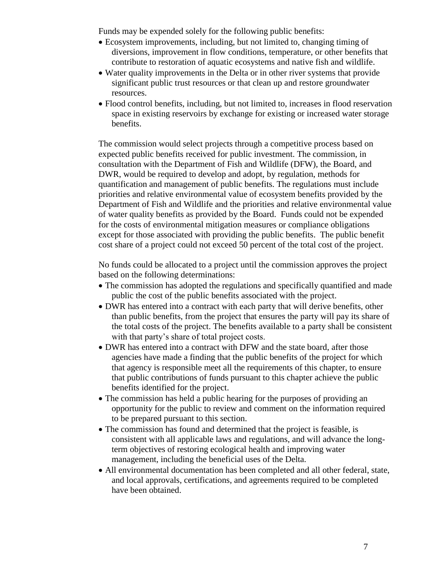Funds may be expended solely for the following public benefits:

- Ecosystem improvements, including, but not limited to, changing timing of diversions, improvement in flow conditions, temperature, or other benefits that contribute to restoration of aquatic ecosystems and native fish and wildlife.
- Water quality improvements in the Delta or in other river systems that provide significant public trust resources or that clean up and restore groundwater resources.
- Flood control benefits, including, but not limited to, increases in flood reservation space in existing reservoirs by exchange for existing or increased water storage benefits.

The commission would select projects through a competitive process based on expected public benefits received for public investment. The commission, in consultation with the Department of Fish and Wildlife (DFW), the Board, and DWR, would be required to develop and adopt, by regulation, methods for quantification and management of public benefits. The regulations must include priorities and relative environmental value of ecosystem benefits provided by the Department of Fish and Wildlife and the priorities and relative environmental value of water quality benefits as provided by the Board. Funds could not be expended for the costs of environmental mitigation measures or compliance obligations except for those associated with providing the public benefits. The public benefit cost share of a project could not exceed 50 percent of the total cost of the project.

No funds could be allocated to a project until the commission approves the project based on the following determinations:

- The commission has adopted the regulations and specifically quantified and made public the cost of the public benefits associated with the project.
- DWR has entered into a contract with each party that will derive benefits, other than public benefits, from the project that ensures the party will pay its share of the total costs of the project. The benefits available to a party shall be consistent with that party's share of total project costs.
- DWR has entered into a contract with DFW and the state board, after those agencies have made a finding that the public benefits of the project for which that agency is responsible meet all the requirements of this chapter, to ensure that public contributions of funds pursuant to this chapter achieve the public benefits identified for the project.
- The commission has held a public hearing for the purposes of providing an opportunity for the public to review and comment on the information required to be prepared pursuant to this section.
- The commission has found and determined that the project is feasible, is consistent with all applicable laws and regulations, and will advance the longterm objectives of restoring ecological health and improving water management, including the beneficial uses of the Delta.
- All environmental documentation has been completed and all other federal, state, and local approvals, certifications, and agreements required to be completed have been obtained.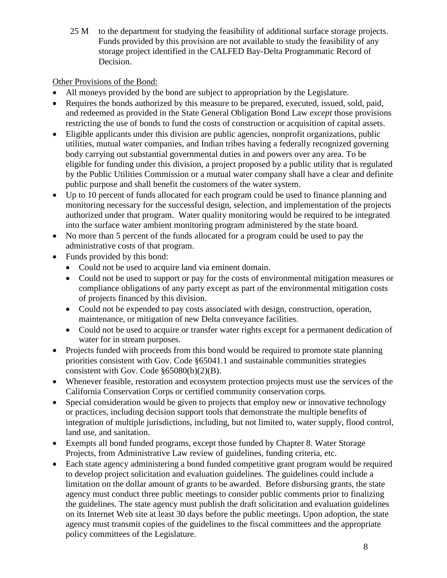25 M to the department for studying the feasibility of additional surface storage projects. Funds provided by this provision are not available to study the feasibility of any storage project identified in the CALFED Bay-Delta Programmatic Record of Decision.

# Other Provisions of the Bond:

- All moneys provided by the bond are subject to appropriation by the Legislature.
- Requires the bonds authorized by this measure to be prepared, executed, issued, sold, paid, and redeemed as provided in the State General Obligation Bond Law *except* those provisions restricting the use of bonds to fund the costs of construction or acquisition of capital assets.
- Eligible applicants under this division are public agencies, nonprofit organizations, public utilities, mutual water companies, and Indian tribes having a federally recognized governing body carrying out substantial governmental duties in and powers over any area. To be eligible for funding under this division, a project proposed by a public utility that is regulated by the Public Utilities Commission or a mutual water company shall have a clear and definite public purpose and shall benefit the customers of the water system.
- Up to 10 percent of funds allocated for each program could be used to finance planning and monitoring necessary for the successful design, selection, and implementation of the projects authorized under that program. Water quality monitoring would be required to be integrated into the surface water ambient monitoring program administered by the state board.
- No more than 5 percent of the funds allocated for a program could be used to pay the administrative costs of that program.
- Funds provided by this bond:
	- Could not be used to acquire land via eminent domain.
	- Could not be used to support or pay for the costs of environmental mitigation measures or compliance obligations of any party except as part of the environmental mitigation costs of projects financed by this division.
	- Could not be expended to pay costs associated with design, construction, operation, maintenance, or mitigation of new Delta conveyance facilities.
	- Could not be used to acquire or transfer water rights except for a permanent dedication of water for in stream purposes.
- Projects funded with proceeds from this bond would be required to promote state planning priorities consistent with Gov. Code §65041.1 and sustainable communities strategies consistent with Gov. Code §65080(b)(2)(B).
- Whenever feasible, restoration and ecosystem protection projects must use the services of the California Conservation Corps or certified community conservation corps.
- Special consideration would be given to projects that employ new or innovative technology or practices, including decision support tools that demonstrate the multiple benefits of integration of multiple jurisdictions, including, but not limited to, water supply, flood control, land use, and sanitation.
- Exempts all bond funded programs, except those funded by Chapter 8. Water Storage Projects, from Administrative Law review of guidelines, funding criteria, etc.
- Each state agency administering a bond funded competitive grant program would be required to develop project solicitation and evaluation guidelines. The guidelines could include a limitation on the dollar amount of grants to be awarded. Before disbursing grants, the state agency must conduct three public meetings to consider public comments prior to finalizing the guidelines. The state agency must publish the draft solicitation and evaluation guidelines on its Internet Web site at least 30 days before the public meetings. Upon adoption, the state agency must transmit copies of the guidelines to the fiscal committees and the appropriate policy committees of the Legislature.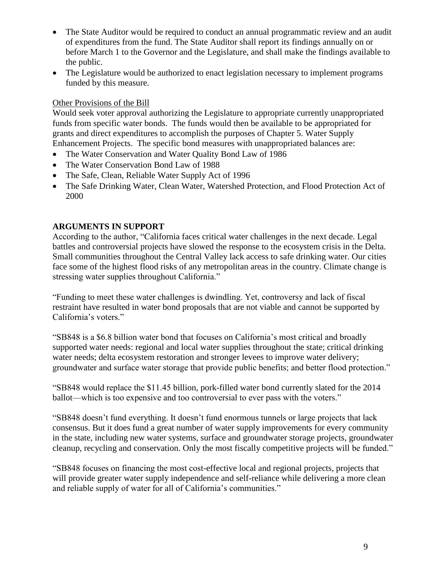- The State Auditor would be required to conduct an annual programmatic review and an audit of expenditures from the fund. The State Auditor shall report its findings annually on or before March 1 to the Governor and the Legislature, and shall make the findings available to the public.
- The Legislature would be authorized to enact legislation necessary to implement programs funded by this measure.

### Other Provisions of the Bill

Would seek voter approval authorizing the Legislature to appropriate currently unappropriated funds from specific water bonds. The funds would then be available to be appropriated for grants and direct expenditures to accomplish the purposes of Chapter 5. Water Supply Enhancement Projects. The specific bond measures with unappropriated balances are:

- The Water Conservation and Water Quality Bond Law of 1986
- The Water Conservation Bond Law of 1988
- The Safe, Clean, Reliable Water Supply Act of 1996
- The Safe Drinking Water, Clean Water, Watershed Protection, and Flood Protection Act of 2000

## **ARGUMENTS IN SUPPORT**

According to the author, "California faces critical water challenges in the next decade. Legal battles and controversial projects have slowed the response to the ecosystem crisis in the Delta. Small communities throughout the Central Valley lack access to safe drinking water. Our cities face some of the highest flood risks of any metropolitan areas in the country. Climate change is stressing water supplies throughout California."

"Funding to meet these water challenges is dwindling. Yet, controversy and lack of fiscal restraint have resulted in water bond proposals that are not viable and cannot be supported by California's voters."

"SB848 is a \$6.8 billion water bond that focuses on California's most critical and broadly supported water needs: regional and local water supplies throughout the state; critical drinking water needs; delta ecosystem restoration and stronger levees to improve water delivery; groundwater and surface water storage that provide public benefits; and better flood protection."

"SB848 would replace the \$11.45 billion, pork-filled water bond currently slated for the 2014 ballot—which is too expensive and too controversial to ever pass with the voters."

"SB848 doesn't fund everything. It doesn't fund enormous tunnels or large projects that lack consensus. But it does fund a great number of water supply improvements for every community in the state, including new water systems, surface and groundwater storage projects, groundwater cleanup, recycling and conservation. Only the most fiscally competitive projects will be funded."

"SB848 focuses on financing the most cost-effective local and regional projects, projects that will provide greater water supply independence and self-reliance while delivering a more clean and reliable supply of water for all of California's communities."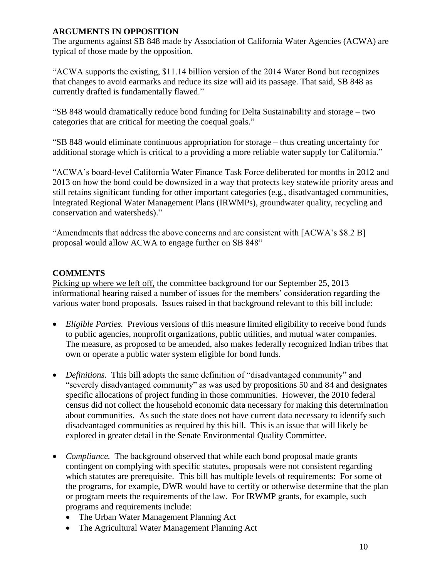### **ARGUMENTS IN OPPOSITION**

The arguments against SB 848 made by Association of California Water Agencies (ACWA) are typical of those made by the opposition.

"ACWA supports the existing, \$11.14 billion version of the 2014 Water Bond but recognizes that changes to avoid earmarks and reduce its size will aid its passage. That said, SB 848 as currently drafted is fundamentally flawed."

"SB 848 would dramatically reduce bond funding for Delta Sustainability and storage – two categories that are critical for meeting the coequal goals."

"SB 848 would eliminate continuous appropriation for storage – thus creating uncertainty for additional storage which is critical to a providing a more reliable water supply for California."

"ACWA's board-level California Water Finance Task Force deliberated for months in 2012 and 2013 on how the bond could be downsized in a way that protects key statewide priority areas and still retains significant funding for other important categories (e.g., disadvantaged communities, Integrated Regional Water Management Plans (IRWMPs), groundwater quality, recycling and conservation and watersheds)."

"Amendments that address the above concerns and are consistent with [ACWA's \$8.2 B] proposal would allow ACWA to engage further on SB 848"

# **COMMENTS**

Picking up where we left off, the committee background for our September 25, 2013 informational hearing raised a number of issues for the members' consideration regarding the various water bond proposals. Issues raised in that background relevant to this bill include:

- *Eligible Parties.* Previous versions of this measure limited eligibility to receive bond funds to public agencies, nonprofit organizations, public utilities, and mutual water companies. The measure, as proposed to be amended, also makes federally recognized Indian tribes that own or operate a public water system eligible for bond funds.
- *Definitions.* This bill adopts the same definition of "disadvantaged community" and "severely disadvantaged community" as was used by propositions 50 and 84 and designates specific allocations of project funding in those communities. However, the 2010 federal census did not collect the household economic data necessary for making this determination about communities. As such the state does not have current data necessary to identify such disadvantaged communities as required by this bill. This is an issue that will likely be explored in greater detail in the Senate Environmental Quality Committee.
- *Compliance*. The background observed that while each bond proposal made grants contingent on complying with specific statutes, proposals were not consistent regarding which statutes are prerequisite. This bill has multiple levels of requirements: For some of the programs, for example, DWR would have to certify or otherwise determine that the plan or program meets the requirements of the law. For IRWMP grants, for example, such programs and requirements include:
	- The Urban Water Management Planning Act
	- The Agricultural Water Management Planning Act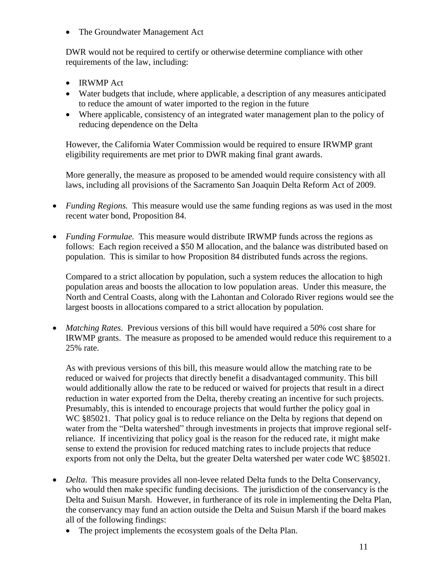• The Groundwater Management Act

DWR would not be required to certify or otherwise determine compliance with other requirements of the law, including:

- IRWMP Act
- Water budgets that include, where applicable, a description of any measures anticipated to reduce the amount of water imported to the region in the future
- Where applicable, consistency of an integrated water management plan to the policy of reducing dependence on the Delta

However, the California Water Commission would be required to ensure IRWMP grant eligibility requirements are met prior to DWR making final grant awards.

More generally, the measure as proposed to be amended would require consistency with all laws, including all provisions of the Sacramento San Joaquin Delta Reform Act of 2009.

- *Funding Regions.* This measure would use the same funding regions as was used in the most recent water bond, Proposition 84.
- *Funding Formulae.* This measure would distribute IRWMP funds across the regions as follows: Each region received a \$50 M allocation, and the balance was distributed based on population. This is similar to how Proposition 84 distributed funds across the regions.

Compared to a strict allocation by population, such a system reduces the allocation to high population areas and boosts the allocation to low population areas. Under this measure, the North and Central Coasts, along with the Lahontan and Colorado River regions would see the largest boosts in allocations compared to a strict allocation by population.

 *Matching Rates*. Previous versions of this bill would have required a 50% cost share for IRWMP grants. The measure as proposed to be amended would reduce this requirement to a 25% rate.

As with previous versions of this bill, this measure would allow the matching rate to be reduced or waived for projects that directly benefit a disadvantaged community. This bill would additionally allow the rate to be reduced or waived for projects that result in a direct reduction in water exported from the Delta, thereby creating an incentive for such projects. Presumably, this is intended to encourage projects that would further the policy goal in WC §85021. That policy goal is to reduce reliance on the Delta by regions that depend on water from the "Delta watershed" through investments in projects that improve regional selfreliance. If incentivizing that policy goal is the reason for the reduced rate, it might make sense to extend the provision for reduced matching rates to include projects that reduce exports from not only the Delta, but the greater Delta watershed per water code WC §85021.

- *Delta*. This measure provides all non-levee related Delta funds to the Delta Conservancy, who would then make specific funding decisions. The jurisdiction of the conservancy is the Delta and Suisun Marsh. However, in furtherance of its role in implementing the Delta Plan, the conservancy may fund an action outside the Delta and Suisun Marsh if the board makes all of the following findings:
	- The project implements the ecosystem goals of the Delta Plan.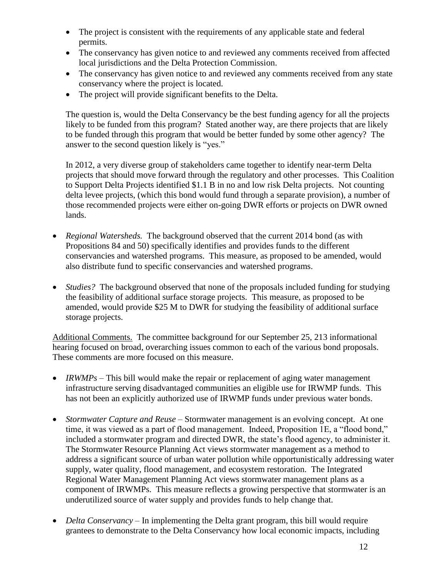- The project is consistent with the requirements of any applicable state and federal permits.
- The conservancy has given notice to and reviewed any comments received from affected local jurisdictions and the Delta Protection Commission.
- The conservancy has given notice to and reviewed any comments received from any state conservancy where the project is located.
- The project will provide significant benefits to the Delta.

The question is, would the Delta Conservancy be the best funding agency for all the projects likely to be funded from this program? Stated another way, are there projects that are likely to be funded through this program that would be better funded by some other agency? The answer to the second question likely is "yes."

In 2012, a very diverse group of stakeholders came together to identify near-term Delta projects that should move forward through the regulatory and other processes. This Coalition to Support Delta Projects identified \$1.1 B in no and low risk Delta projects. Not counting delta levee projects, (which this bond would fund through a separate provision), a number of those recommended projects were either on-going DWR efforts or projects on DWR owned lands.

- *Regional Watersheds.* The background observed that the current 2014 bond (as with Propositions 84 and 50) specifically identifies and provides funds to the different conservancies and watershed programs. This measure, as proposed to be amended, would also distribute fund to specific conservancies and watershed programs.
- *Studies?* The background observed that none of the proposals included funding for studying the feasibility of additional surface storage projects. This measure, as proposed to be amended, would provide \$25 M to DWR for studying the feasibility of additional surface storage projects.

Additional Comments. The committee background for our September 25, 213 informational hearing focused on broad, overarching issues common to each of the various bond proposals. These comments are more focused on this measure.

- *IRWMPs* This bill would make the repair or replacement of aging water management infrastructure serving disadvantaged communities an eligible use for IRWMP funds. This has not been an explicitly authorized use of IRWMP funds under previous water bonds.
- *Stormwater Capture and Reuse* Stormwater management is an evolving concept. At one time, it was viewed as a part of flood management. Indeed, Proposition 1E, a "flood bond," included a stormwater program and directed DWR, the state's flood agency, to administer it. The Stormwater Resource Planning Act views stormwater management as a method to address a significant source of urban water pollution while opportunistically addressing water supply, water quality, flood management, and ecosystem restoration. The Integrated Regional Water Management Planning Act views stormwater management plans as a component of IRWMPs. This measure reflects a growing perspective that stormwater is an underutilized source of water supply and provides funds to help change that.
- *Delta Conservancy* In implementing the Delta grant program, this bill would require grantees to demonstrate to the Delta Conservancy how local economic impacts, including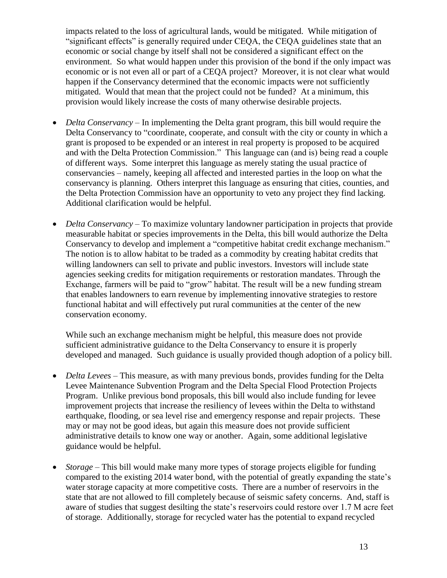impacts related to the loss of agricultural lands, would be mitigated. While mitigation of "significant effects" is generally required under CEQA, the CEQA guidelines state that an economic or social change by itself shall not be considered a significant effect on the environment. So what would happen under this provision of the bond if the only impact was economic or is not even all or part of a CEQA project? Moreover, it is not clear what would happen if the Conservancy determined that the economic impacts were not sufficiently mitigated. Would that mean that the project could not be funded? At a minimum, this provision would likely increase the costs of many otherwise desirable projects.

- *Delta Conservancy* In implementing the Delta grant program, this bill would require the Delta Conservancy to "coordinate, cooperate, and consult with the city or county in which a grant is proposed to be expended or an interest in real property is proposed to be acquired and with the Delta Protection Commission." This language can (and is) being read a couple of different ways. Some interpret this language as merely stating the usual practice of conservancies – namely, keeping all affected and interested parties in the loop on what the conservancy is planning. Others interpret this language as ensuring that cities, counties, and the Delta Protection Commission have an opportunity to veto any project they find lacking. Additional clarification would be helpful.
- *Delta Conservancy* To maximize voluntary landowner participation in projects that provide measurable habitat or species improvements in the Delta, this bill would authorize the Delta Conservancy to develop and implement a "competitive habitat credit exchange mechanism." The notion is to allow habitat to be traded as a commodity by creating habitat credits that willing landowners can sell to private and public investors. Investors will include state agencies seeking credits for mitigation requirements or restoration mandates. Through the Exchange, farmers will be paid to "grow" habitat. The result will be a new funding stream that enables landowners to earn revenue by implementing innovative strategies to restore functional habitat and will effectively put rural communities at the center of the new conservation economy.

While such an exchange mechanism might be helpful, this measure does not provide sufficient administrative guidance to the Delta Conservancy to ensure it is properly developed and managed. Such guidance is usually provided though adoption of a policy bill.

- *Delta Levees* This measure, as with many previous bonds, provides funding for the Delta Levee Maintenance Subvention Program and the Delta Special Flood Protection Projects Program. Unlike previous bond proposals, this bill would also include funding for levee improvement projects that increase the resiliency of levees within the Delta to withstand earthquake, flooding, or sea level rise and emergency response and repair projects. These may or may not be good ideas, but again this measure does not provide sufficient administrative details to know one way or another. Again, some additional legislative guidance would be helpful.
- *Storage* This bill would make many more types of storage projects eligible for funding compared to the existing 2014 water bond, with the potential of greatly expanding the state's water storage capacity at more competitive costs. There are a number of reservoirs in the state that are not allowed to fill completely because of seismic safety concerns. And, staff is aware of studies that suggest desilting the state's reservoirs could restore over 1.7 M acre feet of storage. Additionally, storage for recycled water has the potential to expand recycled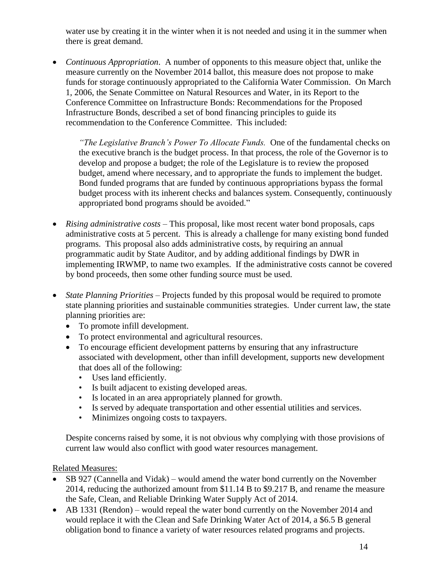water use by creating it in the winter when it is not needed and using it in the summer when there is great demand.

 *Continuous Appropriation*. A number of opponents to this measure object that, unlike the measure currently on the November 2014 ballot, this measure does not propose to make funds for storage continuously appropriated to the California Water Commission. On March 1, 2006, the Senate Committee on Natural Resources and Water, in its Report to the Conference Committee on Infrastructure Bonds: Recommendations for the Proposed Infrastructure Bonds, described a set of bond financing principles to guide its recommendation to the Conference Committee. This included:

*"The Legislative Branch's Power To Allocate Funds.* One of the fundamental checks on the executive branch is the budget process. In that process, the role of the Governor is to develop and propose a budget; the role of the Legislature is to review the proposed budget, amend where necessary, and to appropriate the funds to implement the budget. Bond funded programs that are funded by continuous appropriations bypass the formal budget process with its inherent checks and balances system. Consequently, continuously appropriated bond programs should be avoided."

- *Rising administrative costs* This proposal, like most recent water bond proposals, caps administrative costs at 5 percent. This is already a challenge for many existing bond funded programs. This proposal also adds administrative costs, by requiring an annual programmatic audit by State Auditor, and by adding additional findings by DWR in implementing IRWMP, to name two examples. If the administrative costs cannot be covered by bond proceeds, then some other funding source must be used.
- *State Planning Priorities* Projects funded by this proposal would be required to promote state planning priorities and sustainable communities strategies. Under current law, the state planning priorities are:
	- To promote infill development.
	- To protect environmental and agricultural resources.
	- To encourage efficient development patterns by ensuring that any infrastructure associated with development, other than infill development, supports new development that does all of the following:
		- Uses land efficiently.
		- Is built adjacent to existing developed areas.
		- Is located in an area appropriately planned for growth.
		- Is served by adequate transportation and other essential utilities and services.
		- Minimizes ongoing costs to taxpayers.

Despite concerns raised by some, it is not obvious why complying with those provisions of current law would also conflict with good water resources management.

### Related Measures:

- SB 927 (Cannella and Vidak) would amend the water bond currently on the November 2014, reducing the authorized amount from \$11.14 B to \$9.217 B, and rename the measure the Safe, Clean, and Reliable Drinking Water Supply Act of 2014.
- AB 1331 (Rendon) would repeal the water bond currently on the November 2014 and would replace it with the Clean and Safe Drinking Water Act of 2014, a \$6.5 B general obligation bond to finance a variety of water resources related programs and projects.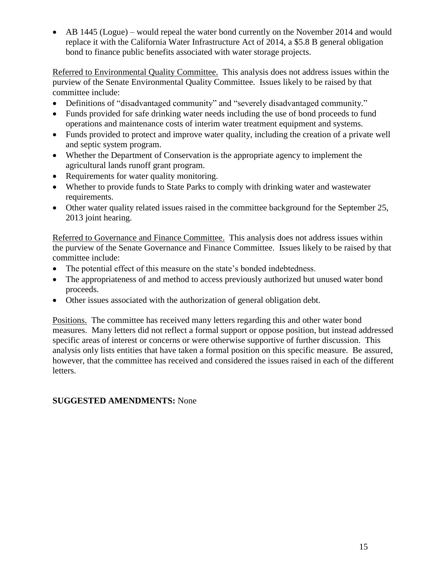• AB 1445 (Logue) – would repeal the water bond currently on the November 2014 and would replace it with the California Water Infrastructure Act of 2014, a \$5.8 B general obligation bond to finance public benefits associated with water storage projects.

Referred to Environmental Quality Committee. This analysis does not address issues within the purview of the Senate Environmental Quality Committee. Issues likely to be raised by that committee include:

- Definitions of "disadvantaged community" and "severely disadvantaged community."
- Funds provided for safe drinking water needs including the use of bond proceeds to fund operations and maintenance costs of interim water treatment equipment and systems.
- Funds provided to protect and improve water quality, including the creation of a private well and septic system program.
- Whether the Department of Conservation is the appropriate agency to implement the agricultural lands runoff grant program.
- Requirements for water quality monitoring.
- Whether to provide funds to State Parks to comply with drinking water and wastewater requirements.
- Other water quality related issues raised in the committee background for the September 25, 2013 joint hearing.

Referred to Governance and Finance Committee. This analysis does not address issues within the purview of the Senate Governance and Finance Committee. Issues likely to be raised by that committee include:

- The potential effect of this measure on the state's bonded indebtedness.
- The appropriateness of and method to access previously authorized but unused water bond proceeds.
- Other issues associated with the authorization of general obligation debt.

Positions. The committee has received many letters regarding this and other water bond measures. Many letters did not reflect a formal support or oppose position, but instead addressed specific areas of interest or concerns or were otherwise supportive of further discussion. This analysis only lists entities that have taken a formal position on this specific measure. Be assured, however, that the committee has received and considered the issues raised in each of the different letters.

# **SUGGESTED AMENDMENTS:** None